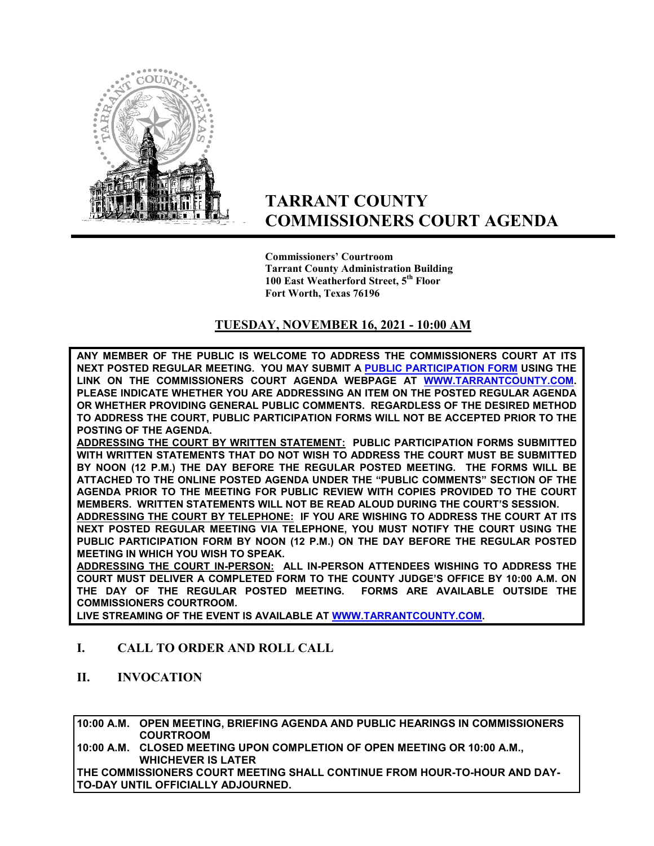

# **TARRANT COUNTY COMMISSIONERS COURT AGENDA**

**Commissioners' Courtroom Tarrant County Administration Building 100 East Weatherford Street, 5th Floor Fort Worth, Texas 76196**

### **TUESDAY, NOVEMBER 16, 2021 - 10:00 AM**

**ANY MEMBER OF THE PUBLIC IS WELCOME TO ADDRESS THE COMMISSIONERS COURT AT ITS NEXT POSTED REGULAR MEETING. YOU MAY SUBMIT A [PUBLIC PARTICIPATION FORM](https://tarrantcounty.na2.documents.adobe.com/public/esignWidget?wid=CBFCIBAA3AAABLblqZhCK1c69fO2NKkvtSrdzlVmA9KtB8oQzGyq6x4PvYBRbgzAxU5a8_HdYBGehP2t_EAc) USING THE LINK ON THE COMMISSIONERS COURT AGENDA WEBPAGE AT [WWW.TARRANTCOUNTY.COM.](http://www.tarrantcounty.com/) PLEASE INDICATE WHETHER YOU ARE ADDRESSING AN ITEM ON THE POSTED REGULAR AGENDA OR WHETHER PROVIDING GENERAL PUBLIC COMMENTS. REGARDLESS OF THE DESIRED METHOD TO ADDRESS THE COURT, PUBLIC PARTICIPATION FORMS WILL NOT BE ACCEPTED PRIOR TO THE POSTING OF THE AGENDA.** 

**ADDRESSING THE COURT BY WRITTEN STATEMENT: PUBLIC PARTICIPATION FORMS SUBMITTED WITH WRITTEN STATEMENTS THAT DO NOT WISH TO ADDRESS THE COURT MUST BE SUBMITTED BY NOON (12 P.M.) THE DAY BEFORE THE REGULAR POSTED MEETING. THE FORMS WILL BE ATTACHED TO THE ONLINE POSTED AGENDA UNDER THE "PUBLIC COMMENTS" SECTION OF THE AGENDA PRIOR TO THE MEETING FOR PUBLIC REVIEW WITH COPIES PROVIDED TO THE COURT MEMBERS. WRITTEN STATEMENTS WILL NOT BE READ ALOUD DURING THE COURT'S SESSION.** 

**ADDRESSING THE COURT BY TELEPHONE: IF YOU ARE WISHING TO ADDRESS THE COURT AT ITS NEXT POSTED REGULAR MEETING VIA TELEPHONE, YOU MUST NOTIFY THE COURT USING THE PUBLIC PARTICIPATION FORM BY NOON (12 P.M.) ON THE DAY BEFORE THE REGULAR POSTED MEETING IN WHICH YOU WISH TO SPEAK.** 

**ADDRESSING THE COURT IN-PERSON: ALL IN-PERSON ATTENDEES WISHING TO ADDRESS THE COURT MUST DELIVER A COMPLETED FORM TO THE COUNTY JUDGE'S OFFICE BY 10:00 A.M. ON THE DAY OF THE REGULAR POSTED MEETING. FORMS ARE AVAILABLE OUTSIDE THE COMMISSIONERS COURTROOM.** 

**LIVE STREAMING OF THE EVENT IS AVAILABLE AT W[WW.TARRANTCOUNTY.COM.](http://www.tarrantcounty.com/)** 

#### **I. CALL TO ORDER AND ROLL CALL**

**II. INVOCATION** 

**10:00 A.M. OPEN MEETING, BRIEFING AGENDA AND PUBLIC HEARINGS IN COMMISSIONERS COURTROOM** 

**10:00 A.M. CLOSED MEETING UPON COMPLETION OF OPEN MEETING OR 10:00 A.M., WHICHEVER IS LATER** 

**THE COMMISSIONERS COURT MEETING SHALL CONTINUE FROM HOUR-TO-HOUR AND DAY-TO-DAY UNTIL OFFICIALLY ADJOURNED.**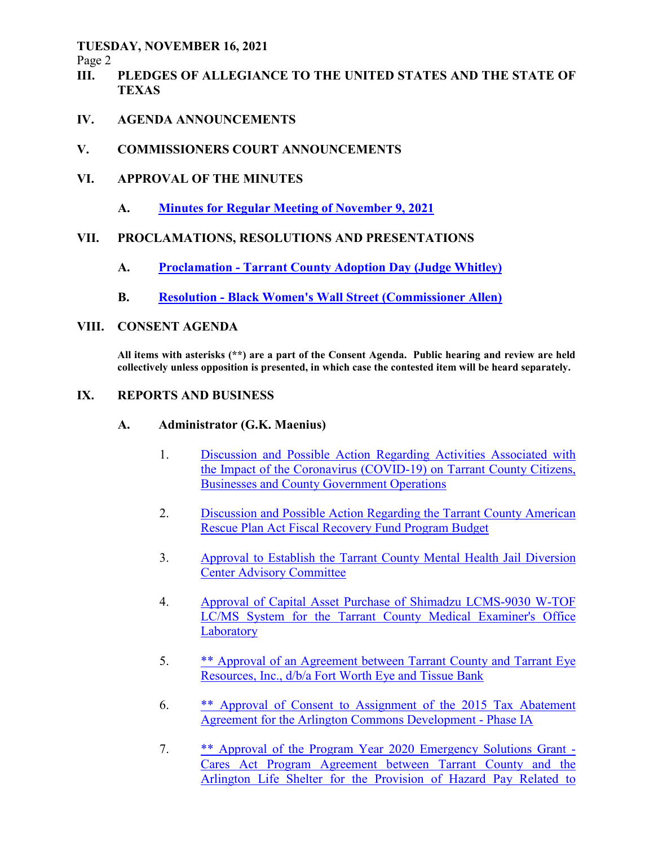Page 2

- **III. PLEDGES OF ALLEGIANCE TO THE UNITED STATES AND THE STATE OF TEXAS**
- **IV. AGENDA ANNOUNCEMENTS**
- **V. COMMISSIONERS COURT ANNOUNCEMENTS**
- **VI. APPROVAL OF THE MINUTES** 
	- **A. Minutes for Regular Meeting of November 9, 2021**

### **VII. PROCLAMATIONS, RESOLUTIONS AND PRESENTATIONS**

- **A. Proclamation Tarrant County Adoption Day (Judge Whitley)**
- **B. Resolution Black Women's Wall Street (Commissioner Allen)**

### **VIII. CONSENT AGENDA**

**All items with asterisks (\*\*) are a part of the Consent Agenda. Public hearing and review are held collectively unless opposition is presented, in which case the contested item will be heard separately.** 

### **IX. REPORTS AND BUSINESS**

### **A. Administrator (G.K. Maenius)**

- 1. Discussion and Possible Action Regarding Activities Associated with the Impact of the Coronavirus (COVID-19) on Tarrant County Citizens, Businesses and County Government Operations
- 2. Discussion and Possible Action Regarding the Tarrant County American Rescue Plan Act Fiscal Recovery Fund Program Budget
- 3. Approval to Establish the Tarrant County Mental Health Jail Diversion Center Advisory Committee
- 4. Approval of Capital Asset Purchase of Shimadzu LCMS-9030 W-TOF LC/MS System for the Tarrant County Medical Examiner's Office **Laboratory**
- 5. \*\* Approval of an Agreement between Tarrant County and Tarrant Eye Resources, Inc., d/b/a Fort Worth Eye and Tissue Bank
- 6. \*\* Approval of Consent to Assignment of the 2015 Tax Abatement Agreement for the Arlington Commons Development - Phase IA
- 7. \*\* Approval of the Program Year 2020 Emergency Solutions Grant Cares Act Program Agreement between Tarrant County and the Arlington Life Shelter for the Provision of Hazard Pay Related to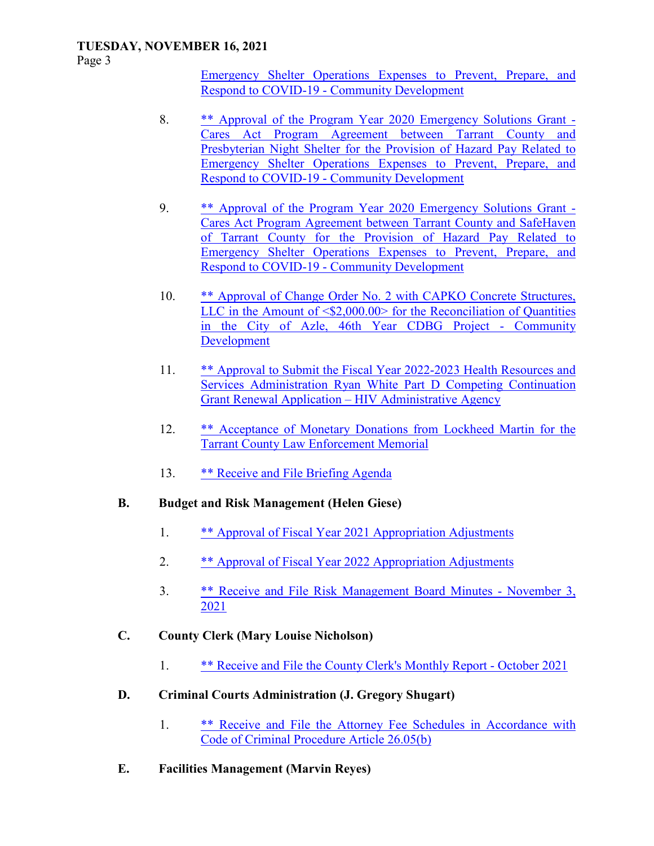Page 3

Emergency Shelter Operations Expenses to Prevent, Prepare, and Respond to COVID-19 - Community Development

- 8. \*\* Approval of the Program Year 2020 Emergency Solutions Grant Cares Act Program Agreement between Tarrant County and Presbyterian Night Shelter for the Provision of Hazard Pay Related to Emergency Shelter Operations Expenses to Prevent, Prepare, and Respond to COVID-19 - Community Development
- 9. \*\* Approval of the Program Year 2020 Emergency Solutions Grant Cares Act Program Agreement between Tarrant County and SafeHaven of Tarrant County for the Provision of Hazard Pay Related to Emergency Shelter Operations Expenses to Prevent, Prepare, and Respond to COVID-19 - Community Development
- 10. \*\* Approval of Change Order No. 2 with CAPKO Concrete Structures, LLC in the Amount of  $\langle $2,000.00 \rangle$  for the Reconciliation of Quantities in the City of Azle, 46th Year CDBG Project - Community Development
- 11. \*\* Approval to Submit the Fiscal Year 2022-2023 Health Resources and Services Administration Ryan White Part D Competing Continuation Grant Renewal Application – HIV Administrative Agency
- 12. \*\* Acceptance of Monetary Donations from Lockheed Martin for the Tarrant County Law Enforcement Memorial
- 13. \*\* Receive and File Briefing Agenda

### **B. Budget and Risk Management (Helen Giese)**

- 1. \*\* Approval of Fiscal Year 2021 Appropriation Adjustments
- 2. \*\* Approval of Fiscal Year 2022 Appropriation Adjustments
- 3. \*\* Receive and File Risk Management Board Minutes November 3, 2021
- **C. County Clerk (Mary Louise Nicholson)** 
	- 1. \*\* Receive and File the County Clerk's Monthly Report October 2021
- **D. Criminal Courts Administration (J. Gregory Shugart)** 
	- 1. \*\* Receive and File the Attorney Fee Schedules in Accordance with Code of Criminal Procedure Article 26.05(b)
- **E. Facilities Management (Marvin Reyes)**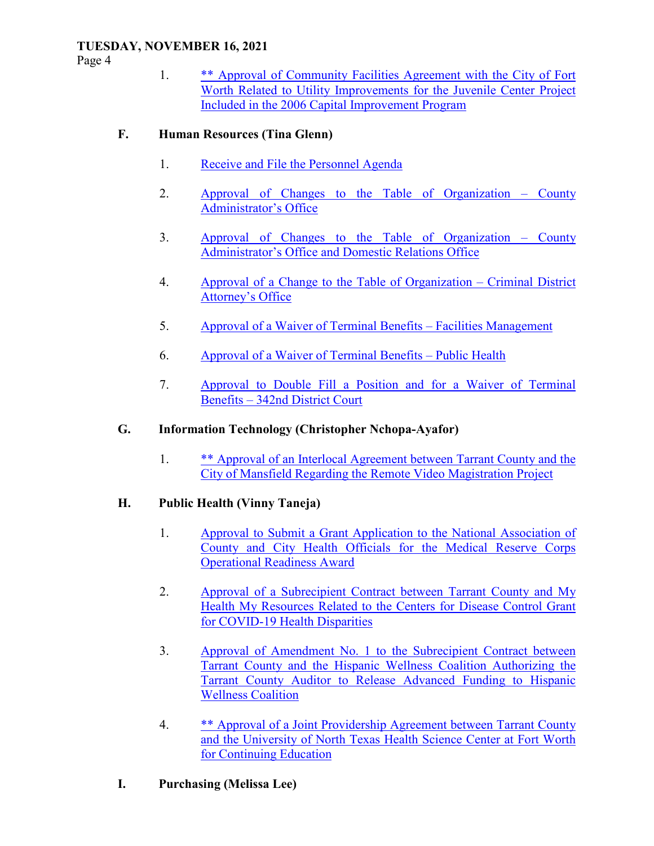Page 4

 1. \*\* Approval of Community Facilities Agreement with the City of Fort Worth Related to Utility Improvements for the Juvenile Center Project Included in the 2006 Capital Improvement Program

# **F. Human Resources (Tina Glenn)**

- 1. Receive and File the Personnel Agenda
- 2. Approval of Changes to the Table of Organization County Administrator's Office
- 3. Approval of Changes to the Table of Organization County Administrator's Office and Domestic Relations Office
- 4. Approval of a Change to the Table of Organization Criminal District Attorney's Office
- 5. Approval of a Waiver of Terminal Benefits Facilities Management
- 6. Approval of a Waiver of Terminal Benefits Public Health
- 7. Approval to Double Fill a Position and for a Waiver of Terminal Benefits – 342nd District Court

# **G. Information Technology (Christopher Nchopa-Ayafor)**

 1. \*\* Approval of an Interlocal Agreement between Tarrant County and the City of Mansfield Regarding the Remote Video Magistration Project

# **H. Public Health (Vinny Taneja)**

- 1. Approval to Submit a Grant Application to the National Association of County and City Health Officials for the Medical Reserve Corps Operational Readiness Award
- 2. Approval of a Subrecipient Contract between Tarrant County and My Health My Resources Related to the Centers for Disease Control Grant for COVID-19 Health Disparities
- 3. Approval of Amendment No. 1 to the Subrecipient Contract between Tarrant County and the Hispanic Wellness Coalition Authorizing the Tarrant County Auditor to Release Advanced Funding to Hispanic Wellness Coalition
- 4. \*\* Approval of a Joint Providership Agreement between Tarrant County and the University of North Texas Health Science Center at Fort Worth for Continuing Education

# **I. Purchasing (Melissa Lee)**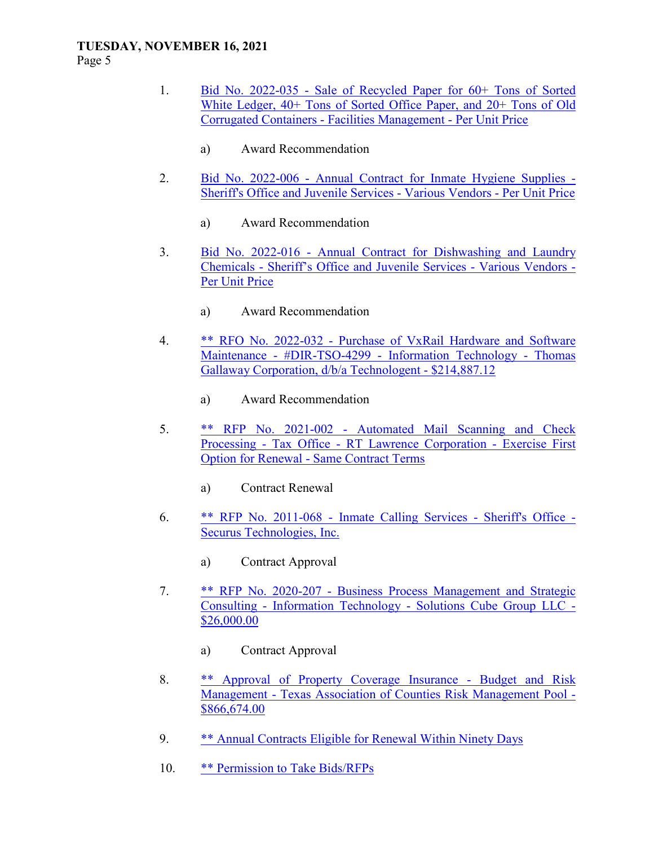Page 5

- 1. Bid No. 2022-035 Sale of Recycled Paper for 60+ Tons of Sorted White Ledger, 40+ Tons of Sorted Office Paper, and 20+ Tons of Old Corrugated Containers - Facilities Management - Per Unit Price
	- a) Award Recommendation
- 2. Bid No. 2022-006 Annual Contract for Inmate Hygiene Supplies Sheriff's Office and Juvenile Services - Various Vendors - Per Unit Price
	- a) Award Recommendation
- 3. Bid No. 2022-016 Annual Contract for Dishwashing and Laundry Chemicals - Sheriff's Office and Juvenile Services - Various Vendors - Per Unit Price
	- a) Award Recommendation
- 4. \*\* RFO No. 2022-032 Purchase of VxRail Hardware and Software Maintenance - #DIR-TSO-4299 - Information Technology - Thomas Gallaway Corporation, d/b/a Technologent - \$214,887.12
	- a) Award Recommendation
- 5. \*\* RFP No. 2021-002 Automated Mail Scanning and Check Processing - Tax Office - RT Lawrence Corporation - Exercise First Option for Renewal - Same Contract Terms
	- a) Contract Renewal
- 6. \*\* RFP No. 2011-068 Inmate Calling Services Sheriff's Office Securus Technologies, Inc.
	- a) Contract Approval
- 7. \*\* RFP No. 2020-207 Business Process Management and Strategic Consulting - Information Technology - Solutions Cube Group LLC - \$26,000.00
	- a) Contract Approval
- 8. \*\* Approval of Property Coverage Insurance Budget and Risk Management - Texas Association of Counties Risk Management Pool - \$866,674.00
- 9. \*\* Annual Contracts Eligible for Renewal Within Ninety Days
- 10. \*\* Permission to Take Bids/RFPs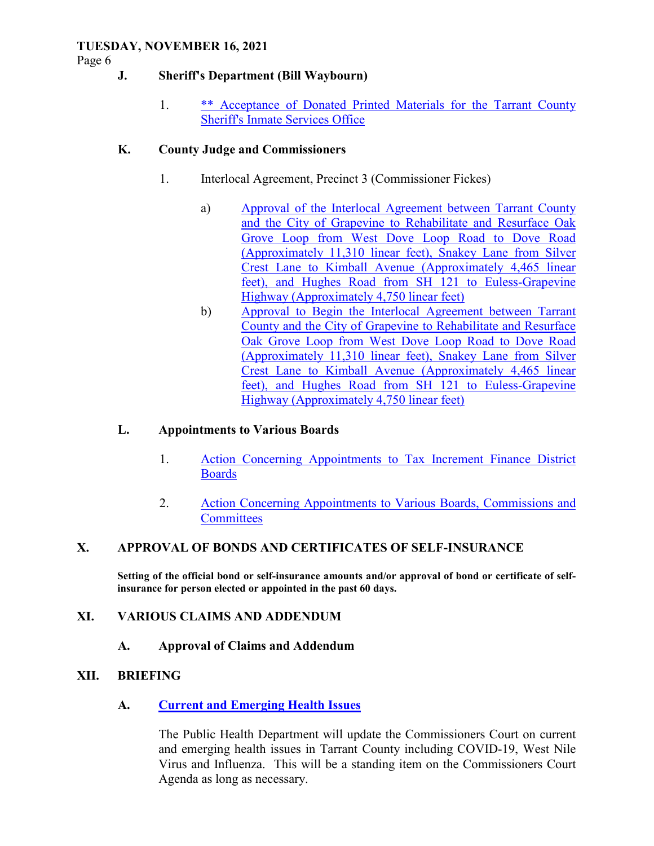Page 6

### **J. Sheriff's Department (Bill Waybourn)**

 1. \*\* Acceptance of Donated Printed Materials for the Tarrant County Sheriff's Inmate Services Office

### **K. County Judge and Commissioners**

- 1. Interlocal Agreement, Precinct 3 (Commissioner Fickes)
	- a) Approval of the Interlocal Agreement between Tarrant County and the City of Grapevine to Rehabilitate and Resurface Oak Grove Loop from West Dove Loop Road to Dove Road (Approximately 11,310 linear feet), Snakey Lane from Silver Crest Lane to Kimball Avenue (Approximately 4,465 linear feet), and Hughes Road from SH 121 to Euless-Grapevine Highway (Approximately 4,750 linear feet)
	- b) Approval to Begin the Interlocal Agreement between Tarrant County and the City of Grapevine to Rehabilitate and Resurface Oak Grove Loop from West Dove Loop Road to Dove Road (Approximately 11,310 linear feet), Snakey Lane from Silver Crest Lane to Kimball Avenue (Approximately 4,465 linear feet), and Hughes Road from SH 121 to Euless-Grapevine Highway (Approximately 4,750 linear feet)

### **L. Appointments to Various Boards**

- 1. Action Concerning Appointments to Tax Increment Finance District Boards
- 2. Action Concerning Appointments to Various Boards, Commissions and **Committees**

### **X. APPROVAL OF BONDS AND CERTIFICATES OF SELF-INSURANCE**

**Setting of the official bond or self-insurance amounts and/or approval of bond or certificate of selfinsurance for person elected or appointed in the past 60 days.** 

#### **XI. VARIOUS CLAIMS AND ADDENDUM**

### **A. Approval of Claims and Addendum**

#### **XII. BRIEFING**

### **A. Current and Emerging Health Issues**

The Public Health Department will update the Commissioners Court on current and emerging health issues in Tarrant County including COVID-19, West Nile Virus and Influenza. This will be a standing item on the Commissioners Court Agenda as long as necessary.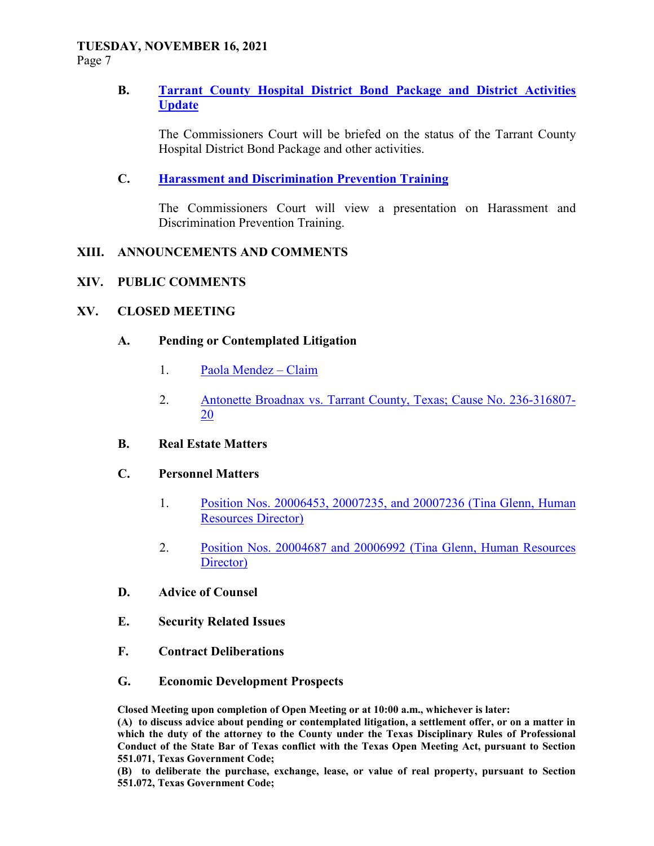Page 7

### **B. Tarrant County Hospital District Bond Package and District Activities Update**

The Commissioners Court will be briefed on the status of the Tarrant County Hospital District Bond Package and other activities.

### **C. Harassment and Discrimination Prevention Training**

The Commissioners Court will view a presentation on Harassment and Discrimination Prevention Training.

#### **XIII. ANNOUNCEMENTS AND COMMENTS**

#### **XIV. PUBLIC COMMENTS**

#### **XV. CLOSED MEETING**

#### **A. Pending or Contemplated Litigation**

- 1. Paola Mendez Claim
- 2. Antonette Broadnax vs. Tarrant County, Texas; Cause No. 236-316807- 20
- **B. Real Estate Matters**

### **C. Personnel Matters**

- 1. Position Nos. 20006453, 20007235, and 20007236 (Tina Glenn, Human Resources Director)
- 2. Position Nos. 20004687 and 20006992 (Tina Glenn, Human Resources Director)
- **D. Advice of Counsel**
- **E. Security Related Issues**
- **F. Contract Deliberations**
- **G. Economic Development Prospects**

**Closed Meeting upon completion of Open Meeting or at 10:00 a.m., whichever is later:** 

**(A) to discuss advice about pending or contemplated litigation, a settlement offer, or on a matter in which the duty of the attorney to the County under the Texas Disciplinary Rules of Professional Conduct of the State Bar of Texas conflict with the Texas Open Meeting Act, pursuant to Section 551.071, Texas Government Code;** 

**(B) to deliberate the purchase, exchange, lease, or value of real property, pursuant to Section 551.072, Texas Government Code;**